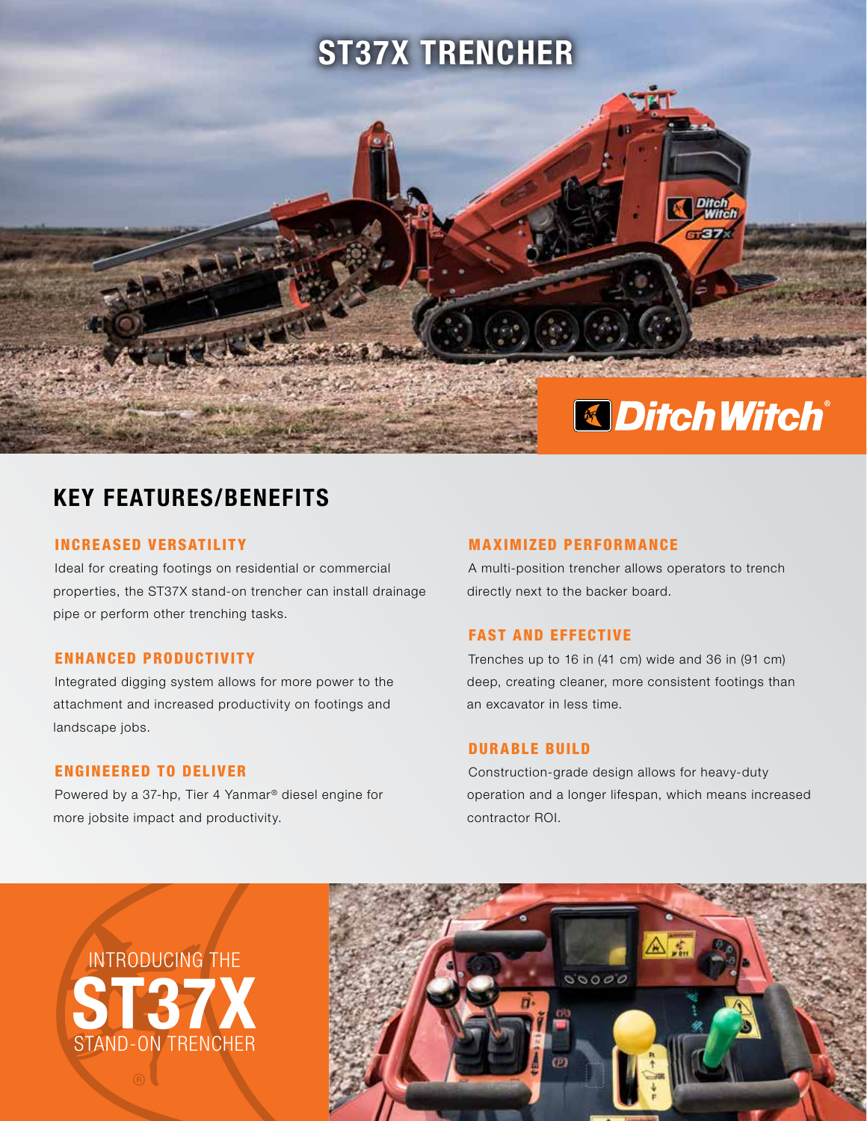

# KEY FEATURES/BENEFITS

# INCREASED VERSATILITY

Ideal for creating footings on residential or commercial properties, the ST37X stand-on trencher can install drainage pipe or perform other trenching tasks.

# ENHANCED PRODUCTIVITY

Integrated digging system allows for more power to the attachment and increased productivity on footings and landscape jobs.

# ENGINEERED TO DELIVER

Powered by a 37-hp, Tier 4 Yanmar® diesel engine for more jobsite impact and productivity.

#### MAXIMIZED PERFORMANCE

A multi-position trencher allows operators to trench directly next to the backer board.

# FAST AND EFFECTIVE

Trenches up to 16 in (41 cm) wide and 36 in (91 cm) deep, creating cleaner, more consistent footings than an excavator in less time.

# DURABLE BUILD

Construction-grade design allows for heavy-duty operation and a longer lifespan, which means increased contractor ROI.

ST37X INTRODUCING THE STAND-ON TRENCHER